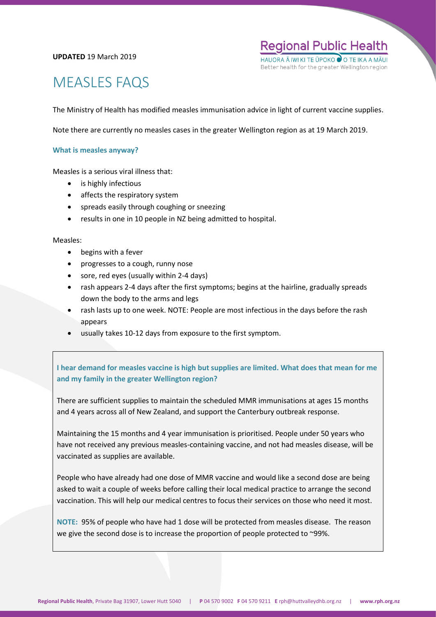#### **UPDATED** 19 March 2019

**Regional Public Health** HAUORA Ā IWI KI TE ŪPOKC Better health for the greater Wellington region

# MEASLES FAQS

The Ministry of Health has modified measles immunisation advice in light of current vaccine supplies.

Note there are currently no measles cases in the greater Wellington region as at 19 March 2019.

#### **What is measles anyway?**

Measles is a serious viral illness that:

- is highly infectious
- affects the respiratory system
- spreads easily through coughing or sneezing
- results in one in 10 people in NZ being admitted to hospital.

#### Measles:

- begins with a fever
- progresses to a cough, runny nose
- sore, red eyes (usually within 2-4 days)
- rash appears 2-4 days after the first symptoms; begins at the hairline, gradually spreads down the body to the arms and legs
- rash lasts up to one week. NOTE: People are most infectious in the days before the rash appears
- usually takes 10-12 days from exposure to the first symptom.

# **I hear demand for measles vaccine is high but supplies are limited. What does that mean for me and my family in the greater Wellington region?**

There are sufficient supplies to maintain the scheduled MMR immunisations at ages 15 months and 4 years across all of New Zealand, and support the Canterbury outbreak response.

Maintaining the 15 months and 4 year immunisation is prioritised. People under 50 years who have not received any previous measles-containing vaccine, and not had measles disease, will be vaccinated as supplies are available.

People who have already had one dose of MMR vaccine and would like a second dose are being asked to wait a couple of weeks before calling their local medical practice to arrange the second vaccination. This will help our medical centres to focus their services on those who need it most.

**NOTE:** 95% of people who have had 1 dose will be protected from measles disease. The reason we give the second dose is to increase the proportion of people protected to ~99%.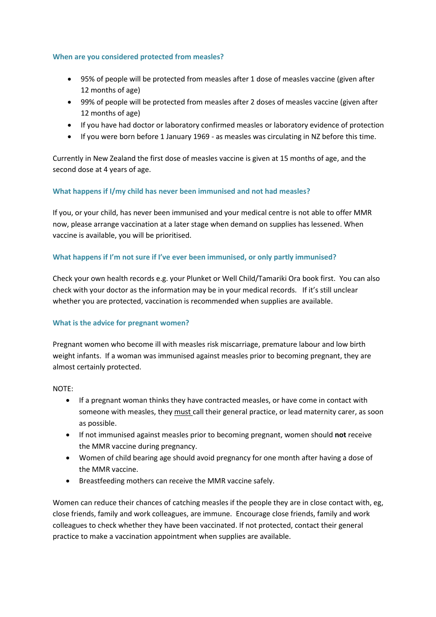# **When are you considered protected from measles?**

- 95% of people will be protected from measles after 1 dose of measles vaccine (given after 12 months of age)
- 99% of people will be protected from measles after 2 doses of measles vaccine (given after 12 months of age)
- If you have had doctor or laboratory confirmed measles or laboratory evidence of protection
- If you were born before 1 January 1969 as measles was circulating in NZ before this time.

Currently in New Zealand the first dose of measles vaccine is given at 15 months of age, and the second dose at 4 years of age.

# **What happens if I/my child has never been immunised and not had measles?**

If you, or your child, has never been immunised and your medical centre is not able to offer MMR now, please arrange vaccination at a later stage when demand on supplies has lessened. When vaccine is available, you will be prioritised.

# **What happens if I'm not sure if I've ever been immunised, or only partly immunised?**

Check your own health records e.g. your Plunket or Well Child/Tamariki Ora book first. You can also check with your doctor as the information may be in your medical records. If it's still unclear whether you are protected, vaccination is recommended when supplies are available.

# **What is the advice for pregnant women?**

Pregnant women who become ill with measles risk miscarriage, premature labour and low birth weight infants. If a woman was immunised against measles prior to becoming pregnant, they are almost certainly protected.

# NOTE:

- If a pregnant woman thinks they have contracted measles, or have come in contact with someone with measles, they must call their general practice, or lead maternity carer, as soon as possible.
- If not immunised against measles prior to becoming pregnant, women should **not** receive the MMR vaccine during pregnancy.
- Women of child bearing age should avoid pregnancy for one month after having a dose of the MMR vaccine.
- Breastfeeding mothers can receive the MMR vaccine safely.

Women can reduce their chances of catching measles if the people they are in close contact with, eg, close friends, family and work colleagues, are immune. Encourage close friends, family and work colleagues to check whether they have been vaccinated. If not protected, contact their general practice to make a vaccination appointment when supplies are available.